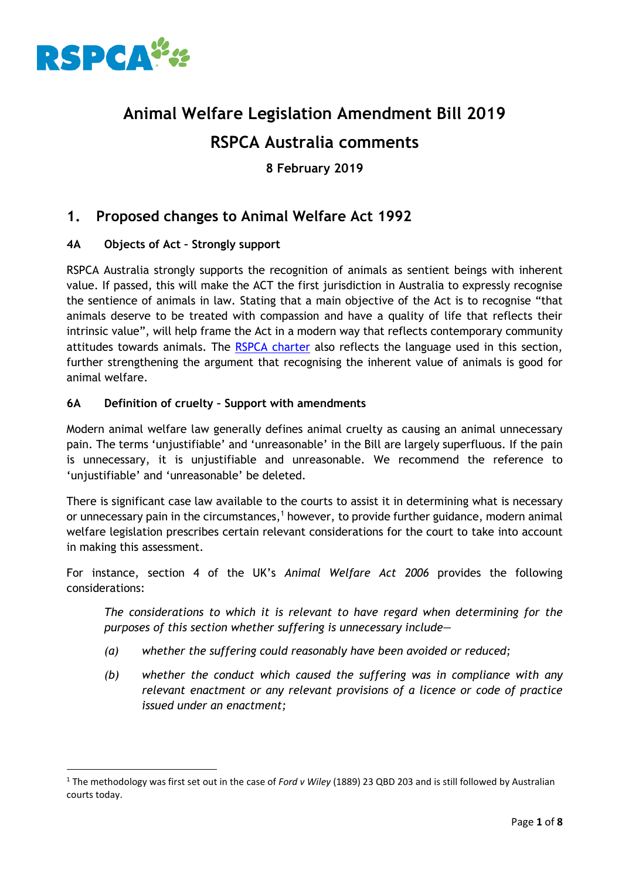

 $\overline{a}$ 

# **Animal Welfare Legislation Amendment Bill 2019 RSPCA Australia comments**

**8 February 2019**

# **1. Proposed changes to Animal Welfare Act 1992**

# **4A Objects of Act – Strongly support**

RSPCA Australia strongly supports the recognition of animals as sentient beings with inherent value. If passed, this will make the ACT the first jurisdiction in Australia to expressly recognise the sentience of animals in law. Stating that a main objective of the Act is to recognise "that animals deserve to be treated with compassion and have a quality of life that reflects their intrinsic value", will help frame the Act in a modern way that reflects contemporary community attitudes towards animals. The [RSPCA charter](https://www.rspca.org.au/what-we-do/about-us/rspca-charter) also reflects the language used in this section, further strengthening the argument that recognising the inherent value of animals is good for animal welfare.

# **6A Definition of cruelty – Support with amendments**

Modern animal welfare law generally defines animal cruelty as causing an animal unnecessary pain. The terms 'unjustifiable' and 'unreasonable' in the Bill are largely superfluous. If the pain is unnecessary, it is unjustifiable and unreasonable. We recommend the reference to 'unjustifiable' and 'unreasonable' be deleted.

There is significant case law available to the courts to assist it in determining what is necessary or unnecessary pain in the circumstances,<sup>1</sup> however, to provide further guidance, modern animal welfare legislation prescribes certain relevant considerations for the court to take into account in making this assessment.

For instance, section 4 of the UK's *Animal Welfare Act 2006* provides the following considerations:

*The considerations to which it is relevant to have regard when determining for the purposes of this section whether suffering is unnecessary include—*

- *(a) whether the suffering could reasonably have been avoided or reduced;*
- *(b) whether the conduct which caused the suffering was in compliance with any relevant enactment or any relevant provisions of a licence or code of practice issued under an enactment;*

<sup>1</sup> The methodology was first set out in the case of *Ford v Wiley* (1889) 23 QBD 203 and is still followed by Australian courts today.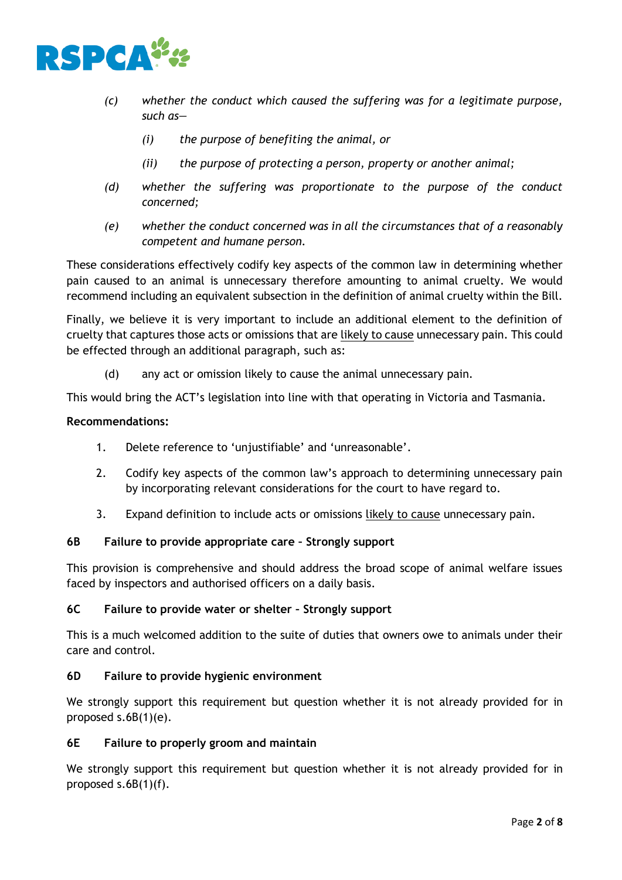

- *(c) whether the conduct which caused the suffering was for a legitimate purpose, such as—*
	- *(i) the purpose of benefiting the animal, or*
	- *(ii) the purpose of protecting a person, property or another animal;*
- *(d) whether the suffering was proportionate to the purpose of the conduct concerned;*
- *(e) whether the conduct concerned was in all the circumstances that of a reasonably competent and humane person.*

These considerations effectively codify key aspects of the common law in determining whether pain caused to an animal is unnecessary therefore amounting to animal cruelty. We would recommend including an equivalent subsection in the definition of animal cruelty within the Bill.

Finally, we believe it is very important to include an additional element to the definition of cruelty that captures those acts or omissions that are likely to cause unnecessary pain. This could be effected through an additional paragraph, such as:

(d) any act or omission likely to cause the animal unnecessary pain.

This would bring the ACT's legislation into line with that operating in Victoria and Tasmania.

# **Recommendations:**

- 1. Delete reference to 'unjustifiable' and 'unreasonable'.
- 2. Codify key aspects of the common law's approach to determining unnecessary pain by incorporating relevant considerations for the court to have regard to.
- 3. Expand definition to include acts or omissions likely to cause unnecessary pain.

#### **6B Failure to provide appropriate care – Strongly support**

This provision is comprehensive and should address the broad scope of animal welfare issues faced by inspectors and authorised officers on a daily basis.

# **6C Failure to provide water or shelter – Strongly support**

This is a much welcomed addition to the suite of duties that owners owe to animals under their care and control.

# **6D Failure to provide hygienic environment**

We strongly support this requirement but question whether it is not already provided for in proposed s.6B(1)(e).

# **6E Failure to properly groom and maintain**

We strongly support this requirement but question whether it is not already provided for in proposed s.6B(1)(f).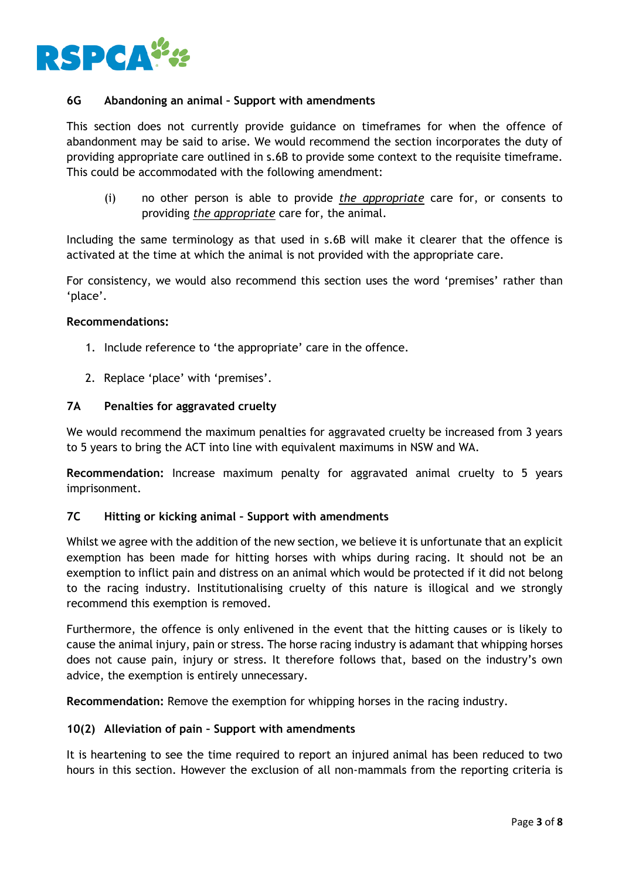

# **6G Abandoning an animal – Support with amendments**

This section does not currently provide guidance on timeframes for when the offence of abandonment may be said to arise. We would recommend the section incorporates the duty of providing appropriate care outlined in s.6B to provide some context to the requisite timeframe. This could be accommodated with the following amendment:

(i) no other person is able to provide *the appropriate* care for, or consents to providing *the appropriate* care for, the animal.

Including the same terminology as that used in s.6B will make it clearer that the offence is activated at the time at which the animal is not provided with the appropriate care.

For consistency, we would also recommend this section uses the word 'premises' rather than 'place'.

#### **Recommendations:**

- 1. Include reference to 'the appropriate' care in the offence.
- 2. Replace 'place' with 'premises'.

# **7A Penalties for aggravated cruelty**

We would recommend the maximum penalties for aggravated cruelty be increased from 3 years to 5 years to bring the ACT into line with equivalent maximums in NSW and WA.

**Recommendation:** Increase maximum penalty for aggravated animal cruelty to 5 years imprisonment.

#### **7C Hitting or kicking animal – Support with amendments**

Whilst we agree with the addition of the new section, we believe it is unfortunate that an explicit exemption has been made for hitting horses with whips during racing. It should not be an exemption to inflict pain and distress on an animal which would be protected if it did not belong to the racing industry. Institutionalising cruelty of this nature is illogical and we strongly recommend this exemption is removed.

Furthermore, the offence is only enlivened in the event that the hitting causes or is likely to cause the animal injury, pain or stress. The horse racing industry is adamant that whipping horses does not cause pain, injury or stress. It therefore follows that, based on the industry's own advice, the exemption is entirely unnecessary.

**Recommendation:** Remove the exemption for whipping horses in the racing industry.

#### **10(2) Alleviation of pain – Support with amendments**

It is heartening to see the time required to report an injured animal has been reduced to two hours in this section. However the exclusion of all non-mammals from the reporting criteria is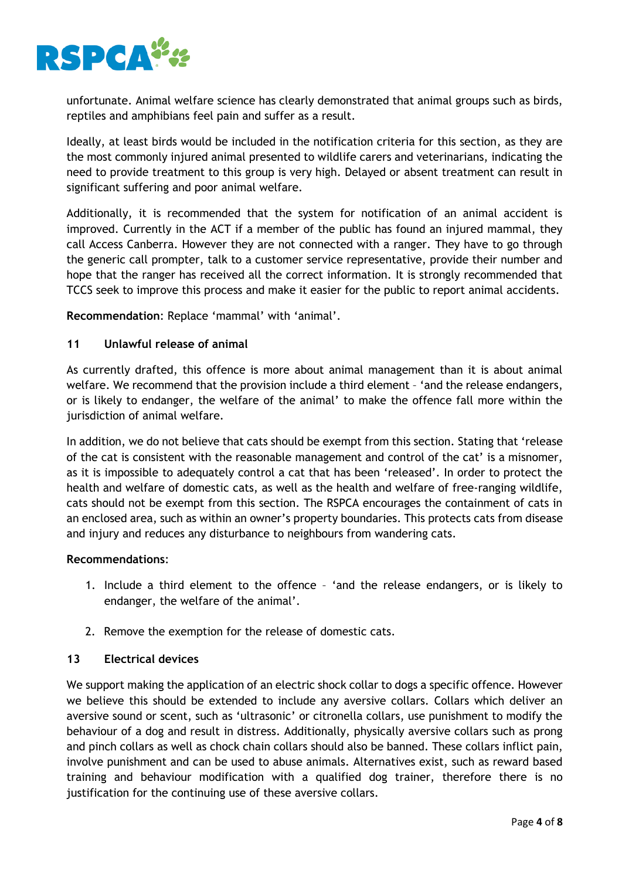

unfortunate. Animal welfare science has clearly demonstrated that animal groups such as birds, reptiles and amphibians feel pain and suffer as a result.

Ideally, at least birds would be included in the notification criteria for this section, as they are the most commonly injured animal presented to wildlife carers and veterinarians, indicating the need to provide treatment to this group is very high. Delayed or absent treatment can result in significant suffering and poor animal welfare.

Additionally, it is recommended that the system for notification of an animal accident is improved. Currently in the ACT if a member of the public has found an injured mammal, they call Access Canberra. However they are not connected with a ranger. They have to go through the generic call prompter, talk to a customer service representative, provide their number and hope that the ranger has received all the correct information. It is strongly recommended that TCCS seek to improve this process and make it easier for the public to report animal accidents.

**Recommendation**: Replace 'mammal' with 'animal'.

# **11 Unlawful release of animal**

As currently drafted, this offence is more about animal management than it is about animal welfare. We recommend that the provision include a third element – 'and the release endangers, or is likely to endanger, the welfare of the animal' to make the offence fall more within the jurisdiction of animal welfare.

In addition, we do not believe that cats should be exempt from this section. Stating that 'release of the cat is consistent with the reasonable management and control of the cat' is a misnomer, as it is impossible to adequately control a cat that has been 'released'. In order to protect the health and welfare of domestic cats, as well as the health and welfare of free-ranging wildlife, cats should not be exempt from this section. The RSPCA encourages the containment of cats in an enclosed area, such as within an owner's property boundaries. This protects cats from disease and injury and reduces any disturbance to neighbours from wandering cats.

#### **Recommendations**:

- 1. Include a third element to the offence 'and the release endangers, or is likely to endanger, the welfare of the animal'.
- 2. Remove the exemption for the release of domestic cats.

# **13 Electrical devices**

We support making the application of an electric shock collar to dogs a specific offence. However we believe this should be extended to include any aversive collars. Collars which deliver an aversive sound or scent, such as 'ultrasonic' or citronella collars, use punishment to modify the behaviour of a dog and result in distress. Additionally, physically aversive collars such as prong and pinch collars as well as chock chain collars should also be banned. These collars inflict pain, involve punishment and can be used to abuse animals. Alternatives exist, such as reward based training and behaviour modification with a qualified dog trainer, therefore there is no justification for the continuing use of these aversive collars.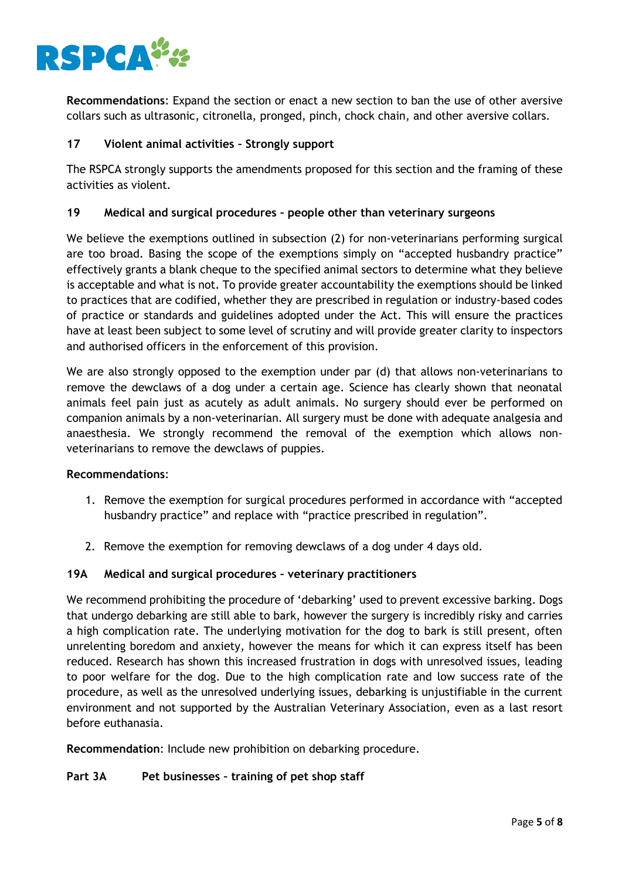

**Recommendations**: Expand the section or enact a new section to ban the use of other aversive collars such as ultrasonic, citronella, pronged, pinch, chock chain, and other aversive collars.

# **17 Violent animal activities – Strongly support**

The RSPCA strongly supports the amendments proposed for this section and the framing of these activities as violent.

# **19 Medical and surgical procedures – people other than veterinary surgeons**

We believe the exemptions outlined in subsection (2) for non-veterinarians performing surgical are too broad. Basing the scope of the exemptions simply on "accepted husbandry practice" effectively grants a blank cheque to the specified animal sectors to determine what they believe is acceptable and what is not. To provide greater accountability the exemptions should be linked to practices that are codified, whether they are prescribed in regulation or industry-based codes of practice or standards and guidelines adopted under the Act. This will ensure the practices have at least been subject to some level of scrutiny and will provide greater clarity to inspectors and authorised officers in the enforcement of this provision.

We are also strongly opposed to the exemption under par (d) that allows non-veterinarians to remove the dewclaws of a dog under a certain age. Science has clearly shown that neonatal animals feel pain just as acutely as adult animals. No surgery should ever be performed on companion animals by a non-veterinarian. All surgery must be done with adequate analgesia and anaesthesia. We strongly recommend the removal of the exemption which allows nonveterinarians to remove the dewclaws of puppies.

#### **Recommendations**:

- 1. Remove the exemption for surgical procedures performed in accordance with "accepted husbandry practice" and replace with "practice prescribed in regulation".
- 2. Remove the exemption for removing dewclaws of a dog under 4 days old.

# **19A Medical and surgical procedures – veterinary practitioners**

We recommend prohibiting the procedure of 'debarking' used to prevent excessive barking. Dogs that undergo debarking are still able to bark, however the surgery is incredibly risky and carries a high complication rate. The underlying motivation for the dog to bark is still present, often unrelenting boredom and anxiety, however the means for which it can express itself has been reduced. Research has shown this increased frustration in dogs with unresolved issues, leading to poor welfare for the dog. Due to the high complication rate and low success rate of the procedure, as well as the unresolved underlying issues, debarking is unjustifiable in the current environment and not supported by the Australian Veterinary Association, even as a last resort before euthanasia.

**Recommendation**: Include new prohibition on debarking procedure.

#### **Part 3A Pet businesses – training of pet shop staff**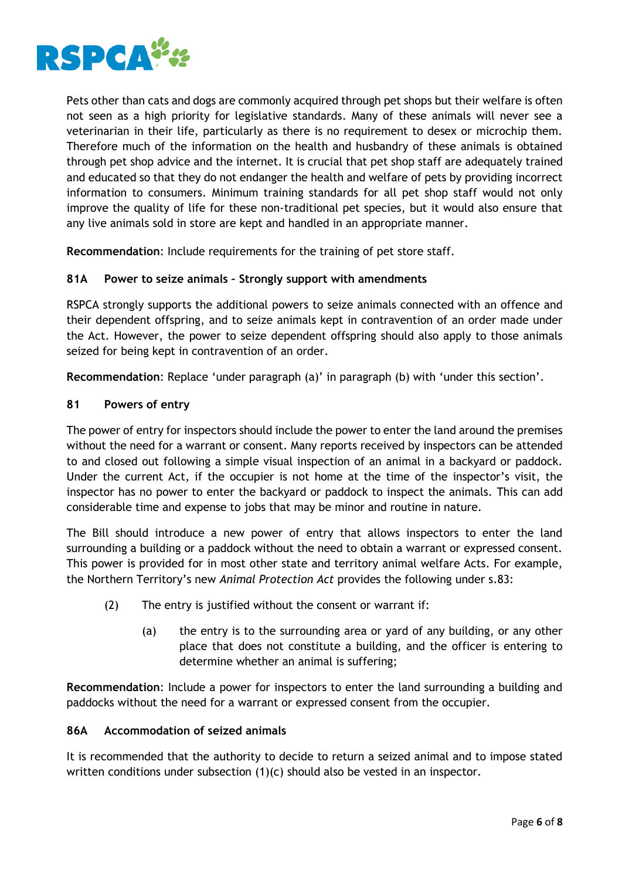

Pets other than cats and dogs are commonly acquired through pet shops but their welfare is often not seen as a high priority for legislative standards. Many of these animals will never see a veterinarian in their life, particularly as there is no requirement to desex or microchip them. Therefore much of the information on the health and husbandry of these animals is obtained through pet shop advice and the internet. It is crucial that pet shop staff are adequately trained and educated so that they do not endanger the health and welfare of pets by providing incorrect information to consumers. Minimum training standards for all pet shop staff would not only improve the quality of life for these non-traditional pet species, but it would also ensure that any live animals sold in store are kept and handled in an appropriate manner.

**Recommendation**: Include requirements for the training of pet store staff.

# **81A Power to seize animals – Strongly support with amendments**

RSPCA strongly supports the additional powers to seize animals connected with an offence and their dependent offspring, and to seize animals kept in contravention of an order made under the Act. However, the power to seize dependent offspring should also apply to those animals seized for being kept in contravention of an order.

**Recommendation**: Replace 'under paragraph (a)' in paragraph (b) with 'under this section'.

# **81 Powers of entry**

The power of entry for inspectors should include the power to enter the land around the premises without the need for a warrant or consent. Many reports received by inspectors can be attended to and closed out following a simple visual inspection of an animal in a backyard or paddock. Under the current Act, if the occupier is not home at the time of the inspector's visit, the inspector has no power to enter the backyard or paddock to inspect the animals. This can add considerable time and expense to jobs that may be minor and routine in nature.

The Bill should introduce a new power of entry that allows inspectors to enter the land surrounding a building or a paddock without the need to obtain a warrant or expressed consent. This power is provided for in most other state and territory animal welfare Acts. For example, the Northern Territory's new *Animal Protection Act* provides the following under s.83:

- (2) The entry is justified without the consent or warrant if:
	- (a) the entry is to the surrounding area or yard of any building, or any other place that does not constitute a building, and the officer is entering to determine whether an animal is suffering;

**Recommendation**: Include a power for inspectors to enter the land surrounding a building and paddocks without the need for a warrant or expressed consent from the occupier.

# **86A Accommodation of seized animals**

It is recommended that the authority to decide to return a seized animal and to impose stated written conditions under subsection (1)(c) should also be vested in an inspector.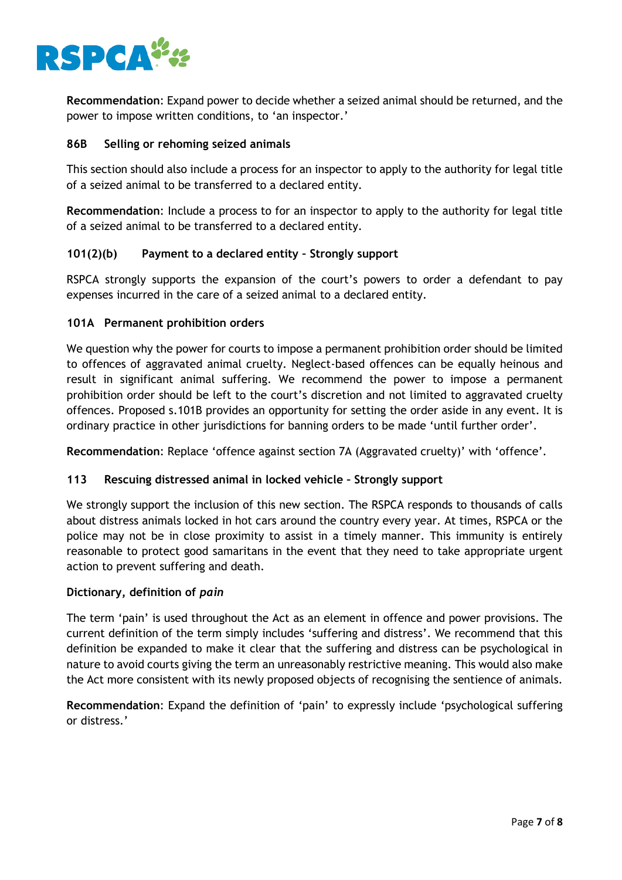

**Recommendation**: Expand power to decide whether a seized animal should be returned, and the power to impose written conditions, to 'an inspector.'

# **86B Selling or rehoming seized animals**

This section should also include a process for an inspector to apply to the authority for legal title of a seized animal to be transferred to a declared entity.

**Recommendation**: Include a process to for an inspector to apply to the authority for legal title of a seized animal to be transferred to a declared entity.

# **101(2)(b) Payment to a declared entity – Strongly support**

RSPCA strongly supports the expansion of the court's powers to order a defendant to pay expenses incurred in the care of a seized animal to a declared entity.

# **101A Permanent prohibition orders**

We question why the power for courts to impose a permanent prohibition order should be limited to offences of aggravated animal cruelty. Neglect-based offences can be equally heinous and result in significant animal suffering. We recommend the power to impose a permanent prohibition order should be left to the court's discretion and not limited to aggravated cruelty offences. Proposed s.101B provides an opportunity for setting the order aside in any event. It is ordinary practice in other jurisdictions for banning orders to be made 'until further order'.

**Recommendation**: Replace 'offence against section 7A (Aggravated cruelty)' with 'offence'.

# **113 Rescuing distressed animal in locked vehicle – Strongly support**

We strongly support the inclusion of this new section. The RSPCA responds to thousands of calls about distress animals locked in hot cars around the country every year. At times, RSPCA or the police may not be in close proximity to assist in a timely manner. This immunity is entirely reasonable to protect good samaritans in the event that they need to take appropriate urgent action to prevent suffering and death.

#### **Dictionary, definition of** *pain*

The term 'pain' is used throughout the Act as an element in offence and power provisions. The current definition of the term simply includes 'suffering and distress'. We recommend that this definition be expanded to make it clear that the suffering and distress can be psychological in nature to avoid courts giving the term an unreasonably restrictive meaning. This would also make the Act more consistent with its newly proposed objects of recognising the sentience of animals.

**Recommendation**: Expand the definition of 'pain' to expressly include 'psychological suffering or distress.'